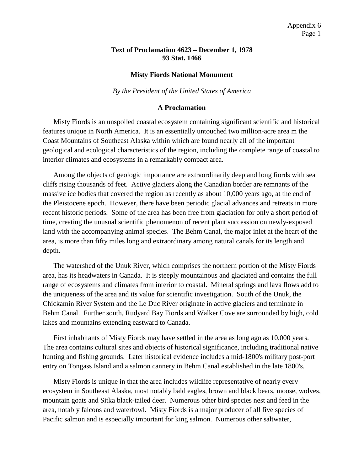## **Text of Proclamation 4623 – December 1, 1978 93 Stat. 1466**

## **Misty Fiords National Monument**

*By the President of the United States of America*

## **A Proclamation**

Misty Fiords is an unspoiled coastal ecosystem containing significant scientific and historical features unique in North America. It is an essentially untouched two million-acre area m the Coast Mountains of Southeast Alaska within which are found nearly all of the important geological and ecological characteristics of the region, including the complete range of coastal to interior climates and ecosystems in a remarkably compact area.

Among the objects of geologic importance are extraordinarily deep and long fiords with sea cliffs rising thousands of feet. Active glaciers along the Canadian border are remnants of the massive ice bodies that covered the region as recently as about 10,000 years ago, at the end of the Pleistocene epoch. However, there have been periodic glacial advances and retreats in more recent historic periods. Some of the area has been free from glaciation for only a short period of time, creating the unusual scientific phenomenon of recent plant succession on newly-exposed land with the accompanying animal species. The Behm Canal, the major inlet at the heart of the area, is more than fifty miles long and extraordinary among natural canals for its length and depth.

The watershed of the Unuk River, which comprises the northern portion of the Misty Fiords area, has its headwaters in Canada. It is steeply mountainous and glaciated and contains the full range of ecosystems and climates from interior to coastal. Mineral springs and lava flows add to the uniqueness of the area and its value for scientific investigation. South of the Unuk, the Chickamin River System and the Le Duc River originate in active glaciers and terminate in Behm Canal. Further south, Rudyard Bay Fiords and Walker Cove are surrounded by high, cold lakes and mountains extending eastward to Canada.

First inhabitants of Misty Fiords may have settled in the area as long ago as 10,000 years. The area contains cultural sites and objects of historical significance, including traditional native hunting and fishing grounds. Later historical evidence includes a mid-1800's military post-port entry on Tongass Island and a salmon cannery in Behm Canal established in the late 1800's.

Misty Fiords is unique in that the area includes wildlife representative of nearly every ecosystem in Southeast Alaska, most notably bald eagles, brown and black bears, moose, wolves, mountain goats and Sitka black-tailed deer. Numerous other bird species nest and feed in the area, notably falcons and waterfowl. Misty Fiords is a major producer of all five species of Pacific salmon and is especially important for king salmon. Numerous other saltwater,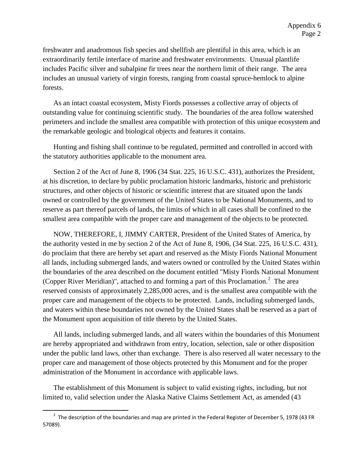freshwater and anadromous fish species and shellfish are plentiful in this area, which is an extraordinarily fertile interface of marine and freshwater environments. Unusual plantlife includes Pacific silver and subalpine fir trees near the northern limit of their range. The area includes an unusual variety of virgin forests, ranging from coastal spruce-hemlock to alpine forests.

As an intact coastal ecosystem, Misty Fiords possesses a collective array of objects of outstanding value for continuing scientific study. The boundaries of the area follow watershed perimeters and include the smallest area compatible with protection of this unique ecosystem and the remarkable geologic and biological objects and features it contains.

Hunting and fishing shall continue to be regulated, permitted and controlled in accord with the statutory authorities applicable to the monument area.

Section 2 of the Act of June 8, 1906 (34 Stat. 225, 16 U.S.C. 431), authorizes the President, at his discretion, to declare by public proclamation historic landmarks, historic and prehistoric structures, and other objects of historic or scientific interest that are situated upon the lands owned or controlled by the government of the United States to be National Monuments, and to reserve as part thereof parcels of lands, the limits of which in all cases shall be confined to the smallest area compatible with the proper care and management of the objects to be protected.

NOW, THEREFORE, I, JIMMY CARTER, President of the United States of America, by the authority vested in me by section 2 of the Act of June 8, 1906, (34 Stat. 225, 16 U.S.C. 431), do proclaim that there are hereby set apart and reserved as the Misty Fiords National Monument all lands, including submerged lands, and waters owned or controlled by the United States within the boundaries of the area described on the document entitled "Misty Fiords National Monument (Copper River Meridian)", attached to and forming a part of this Proclamation. $^2$  $^2$  The area reserved consists of approximately 2,285,000 acres, and is the smallest area compatible with the proper care and management of the objects to be protected. Lands, including submerged lands, and waters within these boundaries not owned by the United States shall be reserved as a part of the Monument upon acquisition of title thereto by the United States.

All lands, including submerged lands, and all waters within the boundaries of this Monument are hereby appropriated and withdrawn from entry, location, selection, sale or other disposition under the public land laws, other than exchange. There is also reserved all water necessary to the proper care and management of those objects protected by this Monument and for the proper administration of the Monument in accordance with applicable laws.

The establishment of this Monument is subject to valid existing rights, including, but not limited to, valid selection under the Alaska Native Claims Settlement Act, as amended (43

 $\overline{\phantom{a}}$ 

<span id="page-1-0"></span><sup>&</sup>lt;sup>2</sup> The description of the boundaries and map are printed in the Federal Register of December 5, 1978 (43 FR 57089).